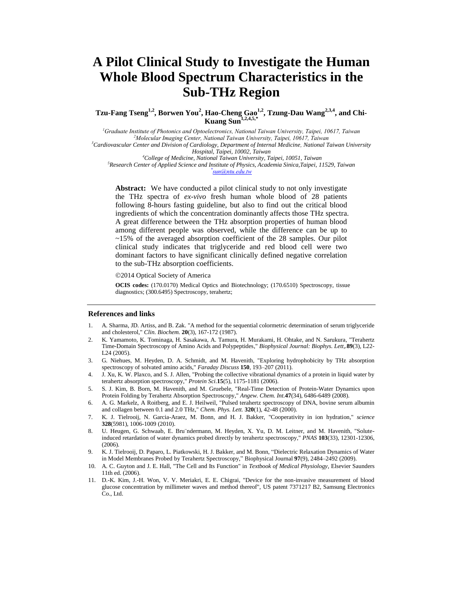# **A Pilot Clinical Study to Investigate the Human Whole Blood Spectrum Characteristics in the Sub-THz Region**

**Tzu-Fang Tseng1,2, Borwen You<sup>2</sup> , Hao-Cheng Gao1,2, Tzung-Dau Wang2,3,4, and Chi-** $Kuanq Sun<sup>1,2,4</sup>$ 

*Graduate Institute of Photonics and Optoelectronics, National Taiwan University, Taipei, 10617, Taiwan Molecular Imaging Center, National Taiwan University, Taipei, 10617, Taiwan Cardiovascular Center and Division of Cardiology, Department of Internal Medicine, National Taiwan University Hospital, Taipei, 10002, Taiwan*

*<sup>4</sup>College of Medicine, National Taiwan University, Taipei, 10051, Taiwan <sup>5</sup>Research Center of Applied Science and Institute of Physics, Academia Sinica,Taipei, 11529, Taiwan \* sun@ntu.edu.tw*

**Abstract:** We have conducted a pilot clinical study to not only investigate the THz spectra of *ex-vivo* fresh human whole blood of 28 patients following 8-hours fasting guideline, but also to find out the critical blood ingredients of which the concentration dominantly affects those THz spectra. A great difference between the THz absorption properties of human blood among different people was observed, while the difference can be up to ~15% of the averaged absorption coefficient of the 28 samples. Our pilot clinical study indicates that triglyceride and red blood cell were two dominant factors to have significant clinically defined negative correlation to the sub-THz absorption coefficients.

2014 Optical Society of America

**OCIS codes:** (170.0170) Medical Optics and Biotechnology; (170.6510) Spectroscopy, tissue diagnostics; (300.6495) Spectroscopy, terahertz;

#### **References and links**

- 1. A. Sharma, JD. Artiss, and B. Zak. "A method for the sequential colormetric determination of serum triglyceride and cholesterol," *Clin. Biochem.* **20**(3), 167-172 (1987).
- 2. K. Yamamoto, K. Tominaga, H. Sasakawa, A. Tamura, H. Murakami, H. Ohtake, and N. Sarukura, "Terahertz Time-Domain Spectroscopy of Amino Acids and Polypeptides," *Biophysical Journal: Biophys. Lett,.***89**(3)*,* L22- L24 (2005).
- 3. G. Niehues, M. Heyden, D. A. Schmidt, and M. Havenith, "Exploring hydrophobicity by THz absorption spectroscopy of solvated amino acids," *Faraday Discuss* **150**, 193–207 (2011).
- 4. J. [Xu,](http://www.ncbi.nlm.nih.gov/pubmed/?term=Xu%20J%5Bauth%5D) K. [W. Plaxco,](http://www.ncbi.nlm.nih.gov/pubmed/?term=Plaxco%20KW%5Bauth%5D) and S. J. [Allen,](http://www.ncbi.nlm.nih.gov/pubmed/?term=Allen%20SJ%5Bauth%5D) "Probing the collective vibrational dynamics of a protein in liquid water by terahertz absorption spectroscopy," *Protein Sci.***15**(5), 1175-1181 (2006).
- 5. S. J. Kim, B. Born, M. Havenith, and M. Gruebele, "Real-Time Detection of Protein-Water Dynamics upon Protein Folding by Terahertz Absorption Spectroscopy," *Angew. Chem. Int.***47**(34), 6486-6489 (2008).
- 6. A. [G. Markelz, A Roitberg,](http://www.sciencedirect.com/science/article/pii/S000926140000227X) and E. [J. Heilweil,](http://www.sciencedirect.com/science/article/pii/S000926140000227X) "Pulsed terahertz spectroscopy of DNA, bovine serum albumin and collagen between 0.1 and 2.0 THz," *Chem. Phys. Lett.* **320**(1), 42-48 (2000).
- 7. K. J. Tielrooij, N. Garcia-Araez, M. Bonn, and H. J. Bakker, "Cooperativity in ion hydration," *science* **328**(5981), 1006-1009 (2010).
- 8. U. Heugen, G. Schwaab, E. Bru¨ndermann, M. Heyden, X. Yu, D. M. Leitner, and M. Havenith, "Soluteinduced retardation of water dynamics probed directly by terahertz spectroscopy," *PNAS* **103**(33), 12301-12306, (2006).
- 9. K. J. Tielrooij, D. Paparo, L. Piatkowski, H. J. Bakker, and M. Bonn, "Dielectric Relaxation Dynamics of Water in Model Membranes Probed by Terahertz Spectroscopy," Biophysical Journal **97**(9), 2484–2492 (2009).
- 10. A. C. Guyton and J. E. Hall, "The Cell and Its Function" in *Textbook of Medical Physiology*, Elsevier Saunders 11th ed. (2006).
- 11. [D.-K. Kim,](https://www.google.com/search?tbo=p&tbm=pts&hl=en&q=ininventor:%22Dong-Kyun+Kim%22) [J.-H. Won,](https://www.google.com/search?tbo=p&tbm=pts&hl=en&q=ininventor:%22Jong-hwa+Won%22) [V. V. Meriakri,](https://www.google.com/search?tbo=p&tbm=pts&hl=en&q=ininventor:%22Viacheslav+Viacheslavovich+Meriakri%22) [E. E. Chigrai,](https://www.google.com/search?tbo=p&tbm=pts&hl=en&q=ininventor:%22Evgenii+Even%27evich+Chigrai%22) "Device for the non-invasive measurement of blood glucose concentration by millimeter waves and method thereof", US patent 7371217 B2[, Samsung Electronics](https://www.google.com/search?tbo=p&tbm=pts&hl=en&q=inassignee:%22Samsung+Electronics+Co.,+Ltd.%22)  [Co., Ltd.](https://www.google.com/search?tbo=p&tbm=pts&hl=en&q=inassignee:%22Samsung+Electronics+Co.,+Ltd.%22)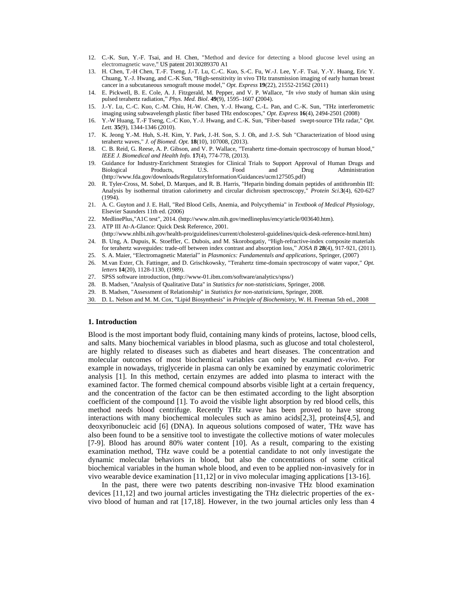- 12. C.-K. Sun, Y.-F. Tsai, and H. Chen, "Method and device for detecting a blood glucose level using an electromagnetic wave," US patent 20130289370 A1
- 13. H. Chen, T.-H Chen, T.-F. Tseng, J.-T. Lu, C.-C. Kuo, S.-C. Fu, W.-J. Lee, Y.-F. Tsai, Y.-Y. Huang, Eric Y. Chuang, Y.-J. Hwang, and C.-K Sun, "High-sensitivity in vivo THz transmission imaging of early human breast cancer in a subcutaneous xenograft mouse model," *Opt. Express* **19**(22), 21552-21562 (2011)
- 14. E. Pickwell, B. E. Cole, A. J. Fitzgerald, M. Pepper, and V. P. Wallace, "*In vivo* study of human skin using pulsed terahertz radiation," *Phys. Med. Biol.* **49**(9), 1595–1607 **(**2004).
- 15. J.-Y. Lu, C.-C. Kuo, C.-M. Chiu, H.-W. Chen, Y.-J. Hwang, C.-L. Pan, and C.-K. Sun, "THz interferometric imaging using subwavelength plastic fiber based THz endoscopes," *Opt. Express* **16**(4), 2494-2501 (2008)
- 16. Y.-W Huang, T.-F Tseng, C.-C Kuo, Y.-J. Hwang, and C.-K. Sun, "Fiber-based swept-source THz radar," *Opt. Lett.* **35**(9), 1344-1346 (2010).
- 17. K. Jeong Y.-M. Huh, S.-H. Kim, Y. Park, J.-H. Son, S. J. Oh, and J.-S. Suh "Characterization of blood using terahertz waves," *J. of Biomed. Opt.* **18**(10), 107008, (2013).
- 18. C. B. Reid, G. Reese, A. P. Gibson, and V. P. Wallace, "Terahertz time-domain spectroscopy of human blood," *IEEE J. Biomedical and Health Info.* **17**(4), 774-778, (2013).
- 19. Guidance for Industry-Enrichment Strategies for Clinical Trials to Support Approval of Human Drugs and Biological Products, U.S. Food and Drug Administration (http://www.fda.gov/downloads/RegulatoryInformation/Guidances/ucm127505.pdf)
- 20. [R. Tyler-Cross,](http://www.ncbi.nlm.nih.gov/pubmed/?term=Tyler-Cross%20R%5Bauth%5D) [M. Sobel,](http://www.ncbi.nlm.nih.gov/pubmed/?term=Sobel%20M%5Bauth%5D) [D. Marques,](http://www.ncbi.nlm.nih.gov/pubmed/?term=Marques%20D%5Bauth%5D) an[d R. B. Harris,](http://www.ncbi.nlm.nih.gov/pubmed/?term=Harris%20RB%5Bauth%5D) "Heparin binding domain peptides of antithrombin III: Analysis by isothermal titration calorimetry and circular dichroism spectroscopy," *[Protein Sci.](http://www.ncbi.nlm.nih.gov/pmc/journals/507/)***3**[\(4\), 620-627](http://www.ncbi.nlm.nih.gov/pmc/issues/157145/) [\(1994\)](http://www.ncbi.nlm.nih.gov/pmc/issues/157145/).
- 21. A. C. Guyton and J. E. Hall, "Red Blood Cells, Anemia, and Polycythemia" in *Textbook of Medical Physiology*, Elsevier Saunders 11th ed. (2006)
- 22. MedlinePlus,"A1C test", 2014. (http://www.nlm.nih.gov/medlineplus/ency/article/003640.htm).
- 23. ATP III At-A-Glance: Quick Desk Reference, 2001.
- (http://www.nhlbi.nih.gov/health-pro/guidelines/current/cholesterol-guidelines/quick-desk-reference-html.htm) 24. B. Ung, A. Dupuis, K. Stoeffler, C. Dubois, and M. Skorobogatiy, "High-refractive-index composite materials
- for terahertz waveguides: trade-off between index contrast and absorption loss," *JOSA B* **28**(4), 917-921, (2011).
- 25. S. A. Maier, "Electromagnetic Material" in *Plasmonics: Fundamentals and applications*, Springer, (2007)
- 26. M.van Exter, Ch. Fattinger, and D. Grischkowsky, "Terahertz time-domain spectroscopy of water vapor," *Opt. letters* **14**(20), 1128-1130, (1989).
- 27. SPSS software introduction, (http://www-01.ibm.com/software/analytics/spss/)
- 28. B. Madsen, "Analysis of Qualitative Data" in *Statistics for non-statisticians*, Springer, 2008.
- 29. B. Madsen, "Assessment of Relationship" in *Statistics for non-statisticians*, Springer, 2008.
- 30. D. L. Nelson and M. M. Cox, "Lipid Biosynthesis" in *Principle of Biochemistry*, W. H. Freeman 5th ed., 2008

## **1. Introduction**

Blood is the most important body fluid, containing many kinds of proteins, lactose, blood cells, and salts. Many biochemical variables in blood plasma, such as glucose and total cholesterol, are highly related to diseases such as diabetes and heart diseases. The concentration and molecular outcomes of most biochemical variables can only be examined *ex-vivo*. For example in nowadays, triglyceride in plasma can only be examined by enzymatic colorimetric analysis [1]. In this method, certain enzymes are added into plasma to interact with the examined factor. The formed chemical compound absorbs visible light at a certain frequency, and the concentration of the factor can be then estimated according to the light absorption coefficient of the compound [1]. To avoid the visible light absorption by red blood cells, this method needs blood centrifuge. Recently THz wave has been proved to have strong interactions with many biochemical molecules such as amino acids[2,3], proteins[4,5], and deoxyribonucleic acid [6] (DNA). In aqueous solutions composed of water, THz wave has also been found to be a sensitive tool to investigate the collective motions of water molecules [7-9]. Blood has around 80% water content [10]. As a result, comparing to the existing examination method, THz wave could be a potential candidate to not only investigate the dynamic molecular behaviors in blood, but also the concentrations of some critical biochemical variables in the human whole blood, and even to be applied non-invasively for in vivo wearable device examination [11,12] or in vivo molecular imaging applications [13-16].

In the past, there were two patents describing non-invasive THz blood examination devices [11,12] and two journal articles investigating the THz dielectric properties of the exvivo blood of human and rat [17,18]. However, in the two journal articles only less than 4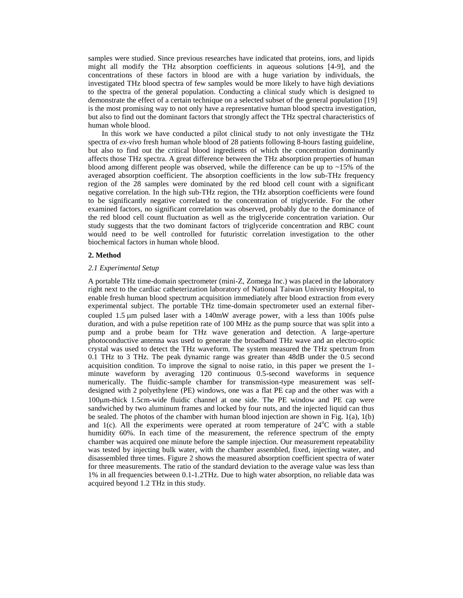samples were studied. Since previous researches have indicated that proteins, ions, and lipids might all modify the THz absorption coefficients in aqueous solutions [4-9], and the concentrations of these factors in blood are with a huge variation by individuals, the investigated THz blood spectra of few samples would be more likely to have high deviations to the spectra of the general population. Conducting a clinical study which is designed to demonstrate the effect of a certain technique on a selected subset of the general population [19] is the most promising way to not only have a representative human blood spectra investigation, but also to find out the dominant factors that strongly affect the THz spectral characteristics of human whole blood.

In this work we have conducted a pilot clinical study to not only investigate the THz spectra of *ex-vivo* fresh human whole blood of 28 patients following 8-hours fasting guideline, but also to find out the critical blood ingredients of which the concentration dominantly affects those THz spectra. A great difference between the THz absorption properties of human blood among different people was observed, while the difference can be up to  $\sim$ 15% of the averaged absorption coefficient. The absorption coefficients in the low sub-THz frequency region of the 28 samples were dominated by the red blood cell count with a significant negative correlation. In the high sub-THz region, the THz absorption coefficients were found to be significantly negative correlated to the concentration of triglyceride. For the other examined factors, no significant correlation was observed, probably due to the dominance of the red blood cell count fluctuation as well as the triglyceride concentration variation. Our study suggests that the two dominant factors of triglyceride concentration and RBC count would need to be well controlled for futuristic correlation investigation to the other biochemical factors in human whole blood.

# **2. Method**

#### *2.1 Experimental Setup*

A portable THz time-domain spectrometer (mini-Z, Zomega Inc.) was placed in the laboratory right next to the cardiac catheterization laboratory of National Taiwan University Hospital, to enable fresh human blood spectrum acquisition immediately after blood extraction from every experimental subject. The portable THz time-domain spectrometer used an external fibercoupled  $1.5 \mu m$  pulsed laser with a 140mW average power, with a less than 100fs pulse duration, and with a pulse repetition rate of 100 MHz as the pump source that was split into a pump and a probe beam for THz wave generation and detection. A large-aperture photoconductive antenna was used to generate the broadband THz wave and an electro-optic crystal was used to detect the THz waveform. The system measured the THz spectrum from 0.1 THz to 3 THz. The peak dynamic range was greater than 48dB under the 0.5 second acquisition condition. To improve the signal to noise ratio, in this paper we present the 1 minute waveform by averaging 120 continuous 0.5-second waveforms in sequence numerically. The fluidic-sample chamber for transmission-type measurement was selfdesigned with 2 polyethylene (PE) windows, one was a flat PE cap and the other was with a 100m-thick 1.5cm-wide fluidic channel at one side. The PE window and PE cap were sandwiched by two aluminum frames and locked by four nuts, and the injected liquid can thus be sealed. The photos of the chamber with human blood injection are shown in Fig.  $1(a)$ ,  $1(b)$ and  $1(c)$ . All the experiments were operated at room temperature of  $24^{\circ}$ C with a stable humidity 60%. In each time of the measurement, the reference spectrum of the empty chamber was acquired one minute before the sample injection. Our measurement repeatability was tested by injecting bulk water, with the chamber assembled, fixed, injecting water, and disassembled three times. Figure 2 shows the measured absorption coefficient spectra of water for three measurements. The ratio of the standard deviation to the average value was less than 1% in all frequencies between 0.1-1.2THz. Due to high water absorption, no reliable data was acquired beyond 1.2 THz in this study.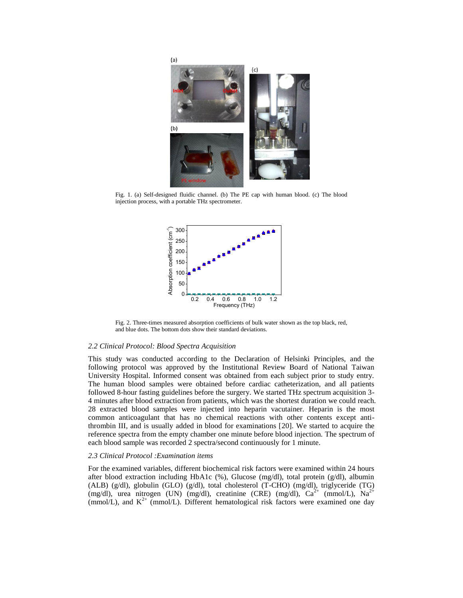

Fig. 1. (a) Self-designed fluidic channel. (b) The PE cap with human blood. (c) The blood injection process, with a portable THz spectrometer.



Fig. 2. Three-times measured absorption coefficients of bulk water shown as the top black, red, and blue dots. The bottom dots show their standard deviations.

#### *2.2 Clinical Protocol: Blood Spectra Acquisition*

This study was conducted according to the Declaration of Helsinki Principles, and the following protocol was approved by the Institutional Review Board of National Taiwan University Hospital. Informed consent was obtained from each subject prior to study entry. The human blood samples were obtained before cardiac catheterization, and all patients followed 8-hour fasting guidelines before the surgery. We started THz spectrum acquisition 3- 4 minutes after blood extraction from patients, which was the shortest duration we could reach. 28 extracted blood samples were injected into heparin vacutainer. Heparin is the most common anticoagulant that has no chemical reactions with other contents except antithrombin III, and is usually added in blood for examinations [20]. We started to acquire the reference spectra from the empty chamber one minute before blood injection. The spectrum of each blood sample was recorded 2 spectra/second continuously for 1 minute.

# *2.3 Clinical Protocol :Examination items*

For the examined variables, different biochemical risk factors were examined within 24 hours after blood extraction including HbA1c (%), Glucose (mg/dl), total protein (g/dl), albumin (ALB) (g/dl), globulin (GLO) (g/dl), total cholesterol (T-CHO) (mg/dl), triglyceride (TG) (mg/dl), urea nitrogen (UN) (mg/dl), creatinine (CRE) (mg/dl),  $Ca^{2+}$  (mmol/L),  $Na^{2+}$ (mmol/L), and  $K^{2+}$  (mmol/L). Different hematological risk factors were examined one day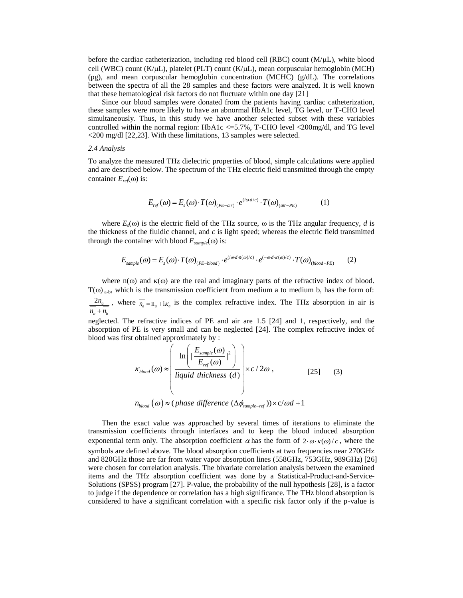before the cardiac catheterization, including red blood cell (RBC) count  $(M<sub>U</sub>L)$ , white blood cell (WBC) count (K/ $\mu$ L), platelet (PLT) count (K/ $\mu$ L), mean corpuscular hemoglobin (MCH) (pg), and mean corpuscular hemoglobin concentration (MCHC) (g/dL). The correlations between the spectra of all the 28 samples and these factors were analyzed. It is well known that these hematological risk factors do not fluctuate within one day [21]

Since our blood samples were donated from the patients having cardiac catheterization, these samples were more likely to have an abnormal HbA1c level, TG level, or T-CHO level simultaneously. Thus, in this study we have another selected subset with these variables controlled within the normal region:  $HbA1c \leq 5.7\%$ , T-CHO level  $\leq 200$ mg/dl, and TG level <200 mg/dl [22,23]. With these limitations, 13 samples were selected.

# *2.4 Analysis*

To analyze the measured THz dielectric properties of blood, simple calculations were applied and are described below. The spectrum of the THz electric field transmitted through the empty container  $E_{ref}(\omega)$  is:

$$
E_{ref}(\omega) = E_s(\omega) \cdot T(\omega)_{(PE-air)} \cdot e^{(i\omega d/c)} \cdot T(\omega)_{(air-PE)}
$$
(1)

where  $E_s(\omega)$  is the electric field of the THz source,  $\omega$  is the THz angular frequency, *d* is the thickness of the fluidic channel, and *c* is light speed; whereas the electric field transmitted<br>through the container with blood  $E_{sample}(\omega)$  is:<br> $E_{sample}(\omega) = E_s(\omega) \cdot T(\omega)_{(PE-blood)} \cdot e^{(i\omega d \pi(\omega)/c)} \cdot e^{(-\omega d \cdot \kappa(\omega)/c)} \cdot T(\omega)_{(blood-PE)}$ through the container with blood  $E_{sample}(\omega)$  is: (container with blood  $E_{sample}(\omega)$  is:<br>  $E_{sample}(\omega) = E_s(\omega) \cdot T(\omega)_{(PE-blood)} \cdot e^{(i\omega d \pi(\omega)/c)} \cdot e^{(-\omega d \kappa(\omega)/c)} \cdot T(\omega)_{(blood-PE)}$ 

$$
E_{sample}(\omega) = E_s(\omega) \cdot T(\omega)_{(PE-blood)} \cdot e^{(i\omega d \cdot n(\omega)/c)} \cdot e^{(-\omega d \cdot \kappa(\omega)/c)} \cdot T(\omega)_{(blood-PE)} \tag{2}
$$

where  $n(\omega)$  and  $\kappa(\omega)$  are the real and imaginary parts of the refractive index of blood.  $T(\omega)$ <sub>a-b</sub>, which is the transmission coefficient from medium a to medium b, has the form of:  $\frac{2n_a}{\cdot}$ , where  $\overline{n}_a = n_a + i\kappa_a$  is the complex refractive index. The THz absorption in air is  $n_a + n_b$ 

neglected. The refractive indices of PE and air are 1.5 [24] and 1, respectively, and the

absorption of PE is very small and can be neglected [24]. The complex refractive index of  
blood was first obtained approximately by :  

$$
\kappa_{blood}(\omega) \approx \left( \frac{\ln \left( \left| \frac{E_{sample}(\omega)}{E_{ref}(\omega)} \right|^{2} \right)}{liquid thickness (\omega)} \right) \times c/2\omega , \qquad [25] \qquad (3)
$$

$$
n_{blood}(\omega) \approx (phase difference (\Delta \phi_{sample-ref})) \times c/\omega d + 1
$$

Then the exact value was approached by several times of iterations to eliminate the transmission coefficients through interfaces and to keep the blood induced absorption exponential term only. The absorption coefficient 
$$
\alpha
$$
 has the form of  $2 \cdot \omega \cdot \kappa(\omega)/c$ , where the symbols are defined above. The blood absorption coefficients at two frequencies near 270GHz and 820GHz those are far from water vapor absorption lines (558GHz, 753GHz, 989GHz) [26] were chosen for correlation analysis. The bivariate correlation analysis between the examined items and the THz absorption coefficient was done by a Statistical-Product-and-Service-Solutions (SPSS) program [27]. P-value, the probability of the null hypothesis [28], is a factor to judge if the dependence or correlation has a high significance. The THz blood absorption is considered to have a significant correlation with a specific risk factor only if the p-value is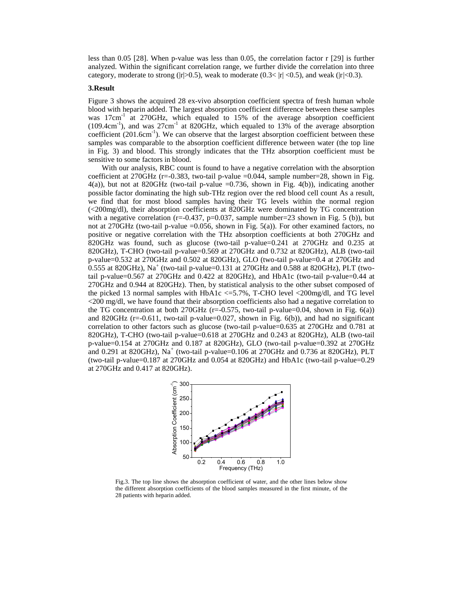less than 0.05 [28]. When p-value was less than 0.05, the correlation factor r [29] is further analyzed. Within the significant correlation range, we further divide the correlation into three category, moderate to strong ( $|r|>0.5$ ), weak to moderate (0.3<  $|r|<0.5$ ), and weak ( $|r|<0.3$ ).

# **3.Result**

Figure 3 shows the acquired 28 ex-vivo absorption coefficient spectra of fresh human whole blood with heparin added. The largest absorption coefficient difference between these samples was 17cm<sup>-1</sup> at 270GHz, which equaled to 15% of the average absorption coefficient  $(109.4 \text{cm}^{-1})$ , and was  $27 \text{cm}^{-1}$  at 820GHz, which equaled to 13% of the average absorption coefficient (201.6cm<sup>-1</sup>). We can observe that the largest absorption coefficient between these samples was comparable to the absorption coefficient difference between water (the top line in Fig. 3) and blood. This strongly indicates that the THz absorption coefficient must be sensitive to some factors in blood.

With our analysis, RBC count is found to have a negative correlation with the absorption coefficient at  $270GHz$  (r=-0.383, two-tail p-value =0.044, sample number=28, shown in Fig. 4(a)), but not at 820GHz (two-tail p-value =0.736, shown in Fig. 4(b)), indicating another possible factor dominating the high sub-THz region over the red blood cell count As a result, we find that for most blood samples having their TG levels within the normal region (<200mg/dl), their absorption coefficients at 820GHz were dominated by TG concentration with a negative correlation ( $r=-0.437$ ,  $p=0.037$ , sample number=23 shown in Fig. 5 (b)), but not at  $270GHz$  (two-tail p-value =0.056, shown in Fig. 5(a)). For other examined factors, no positive or negative correlation with the THz absorption coefficients at both 270GHz and 820GHz was found, such as glucose (two-tail p-value=0.241 at 270GHz and 0.235 at 820GHz), T-CHO (two-tail p-value=0.569 at 270GHz and 0.732 at 820GHz), ALB (two-tail p-value=0.532 at 270GHz and 0.502 at 820GHz), GLO (two-tail p-value=0.4 at 270GHz and 0.555 at 820GHz), Na<sup>+</sup> (two-tail p-value=0.131 at 270GHz and 0.588 at 820GHz), PLT (twotail p-value=0.567 at 270GHz and 0.422 at 820GHz), and HbA1c (two-tail p-value=0.44 at 270GHz and 0.944 at 820GHz). Then, by statistical analysis to the other subset composed of the picked 13 normal samples with HbA1c <=5.7%, T-CHO level <200mg/dl, and TG level <200 mg/dl, we have found that their absorption coefficients also had a negative correlation to the TG concentration at both 270GHz (r= $-0.575$ , two-tail p-value=0.04, shown in Fig. 6(a)) and 820GHz ( $r=-0.611$ , two-tail p-value=0.027, shown in Fig. 6(b)), and had no significant correlation to other factors such as glucose (two-tail p-value=0.635 at 270GHz and 0.781 at 820GHz), T-CHO (two-tail p-value=0.618 at 270GHz and 0.243 at 820GHz), ALB (two-tail p-value=0.154 at 270GHz and 0.187 at 820GHz), GLO (two-tail p-value=0.392 at 270GHz and 0.291 at 820GHz),  $Na^+$  (two-tail p-value=0.106 at 270GHz and 0.736 at 820GHz), PLT (two-tail p-value=0.187 at 270GHz and 0.054 at 820GHz) and HbA1c (two-tail p-value=0.29 at 270GHz and 0.417 at 820GHz).



Fig.3. The top line shows the absorption coefficient of water, and the other lines below show the different absorption coefficients of the blood samples measured in the first minute, of the 28 patients with heparin added.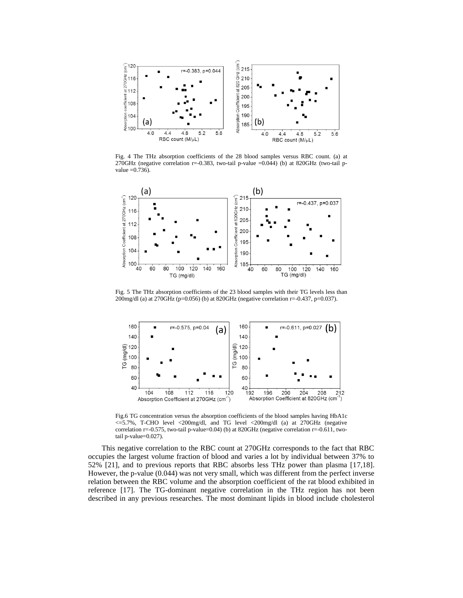

Fig. 4 The THz absorption coefficients of the 28 blood samples versus RBC count. (a) at 270GHz (negative correlation  $r=0.383$ , two-tail p-value  $=0.044$ ) (b) at 820GHz (two-tail pvalue  $=0.736$ ).



Fig. 5 The THz absorption coefficients of the 23 blood samples with their TG levels less than 200mg/dl (a) at 270GHz (p=0.056) (b) at 820GHz (negative correlation r=-0.437, p=0.037).



Fig.6 TG concentration versus the absorption coefficients of the blood samples having HbA1c  $\epsilon = 5.7\%$ , T-CHO level  $\epsilon$ 200mg/dl, and TG level  $\epsilon$ 200mg/dl (a) at 270GHz (negative correlation r=-0.575, two-tail p-value=0.04) (b) at 820GHz (negative correlation r=-0.611, twotail p-value=0.027).

This negative correlation to the RBC count at 270GHz corresponds to the fact that RBC occupies the largest volume fraction of blood and varies a lot by individual between 37% to 52% [21], and to previous reports that RBC absorbs less THz power than plasma [17,18]. However, the p-value (0.044) was not very small, which was different from the perfect inverse relation between the RBC volume and the absorption coefficient of the rat blood exhibited in reference [17]. The TG-dominant negative correlation in the THz region has not been described in any previous researches. The most dominant lipids in blood include cholesterol